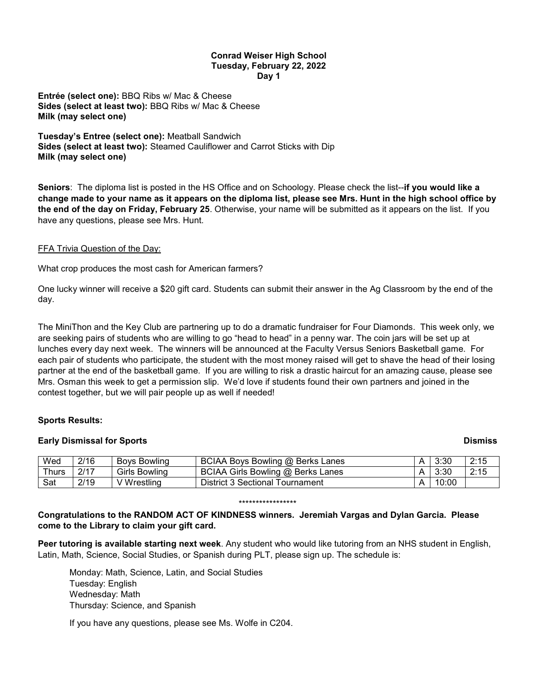#### **Conrad Weiser High School Tuesday, February 22, 2022 Day 1**

**Entrée (select one):** BBQ Ribs w/ Mac & Cheese **Sides (select at least two):** BBQ Ribs w/ Mac & Cheese **Milk (may select one)**

**Tuesday's Entree (select one):** Meatball Sandwich **Sides (select at least two):** Steamed Cauliflower and Carrot Sticks with Dip **Milk (may select one)**

**Seniors**: The diploma list is posted in the HS Office and on Schoology. Please check the list--**if you would like a change made to your name as it appears on the diploma list, please see Mrs. Hunt in the high school office by the end of the day on Friday, February 25**. Otherwise, your name will be submitted as it appears on the list. If you have any questions, please see Mrs. Hunt.

## FFA Trivia Question of the Day:

What crop produces the most cash for American farmers?

One lucky winner will receive a \$20 gift card. Students can submit their answer in the Ag Classroom by the end of the day.

The MiniThon and the Key Club are partnering up to do a dramatic fundraiser for Four Diamonds. This week only, we are seeking pairs of students who are willing to go "head to head" in a penny war. The coin jars will be set up at lunches every day next week. The winners will be announced at the Faculty Versus Seniors Basketball game. For each pair of students who participate, the student with the most money raised will get to shave the head of their losing partner at the end of the basketball game. If you are willing to risk a drastic haircut for an amazing cause, please see Mrs. Osman this week to get a permission slip. We'd love if students found their own partners and joined in the contest together, but we will pair people up as well if needed!

#### **Sports Results:**

#### **Early Dismissal for Sports Dismiss**

| Wed         | 2/16 | <b>Boys Bowling</b> | BCIAA Boys Bowling @ Berks Lanes  | 3:30  | 2:15 |
|-------------|------|---------------------|-----------------------------------|-------|------|
| $\tau$ hurs | 2117 | Girls Bowling       | BCIAA Girls Bowling @ Berks Lanes | 3:30  | 2:15 |
| Sat         | 2/19 | ' Wrestlina         | District 3 Sectional Tournament   | 10:00 |      |

#### \*\*\*\*\*\*\*\*\*\*\*\*\*\*\*\*\*

## **Congratulations to the RANDOM ACT OF KINDNESS winners. Jeremiah Vargas and Dylan Garcia. Please come to the Library to claim your gift card.**

**Peer tutoring is available starting next week**. Any student who would like tutoring from an NHS student in English, Latin, Math, Science, Social Studies, or Spanish during PLT, please sign up. The schedule is:

Monday: Math, Science, Latin, and Social Studies Tuesday: English Wednesday: Math Thursday: Science, and Spanish

If you have any questions, please see Ms. Wolfe in C204.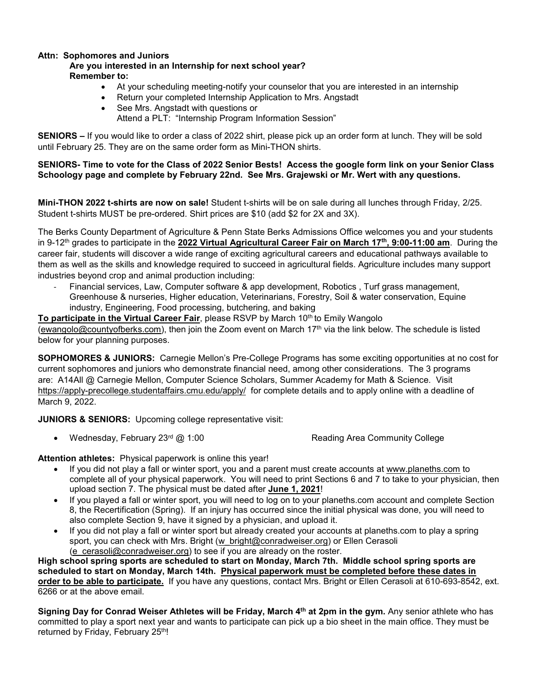# **Attn: Sophomores and Juniors**

# **Are you interested in an Internship for next school year? Remember to:**

- At your scheduling meeting-notify your counselor that you are interested in an internship
- Return your completed Internship Application to Mrs. Angstadt
- See Mrs. Angstadt with questions or

Attend a PLT: "Internship Program Information Session"

**SENIORS –** If you would like to order a class of 2022 shirt, please pick up an order form at lunch. They will be sold until February 25. They are on the same order form as Mini-THON shirts.

### **SENIORS- Time to vote for the Class of 2022 Senior Bests! Access the google form link on your Senior Class Schoology page and complete by February 22nd. See Mrs. Grajewski or Mr. Wert with any questions.**

**Mini-THON 2022 t-shirts are now on sale!** Student t-shirts will be on sale during all lunches through Friday, 2/25. Student t-shirts MUST be pre-ordered. Shirt prices are \$10 (add \$2 for 2X and 3X).

The Berks County Department of Agriculture & Penn State Berks Admissions Office welcomes you and your students in 9-12th grades to participate in the **2022 Virtual Agricultural Career Fair on March 17th, 9:00-11:00 am**. During the career fair, students will discover a wide range of exciting agricultural careers and educational pathways available to them as well as the skills and knowledge required to succeed in agricultural fields. Agriculture includes many support industries beyond crop and animal production including:

- Financial services, Law, Computer software & app development, Robotics , Turf grass management, Greenhouse & nurseries, Higher education, Veterinarians, Forestry, Soil & water conservation, Equine industry, Engineering, Food processing, butchering, and baking

To participate in the Virtual Career Fair, please RSVP by March 10<sup>th</sup> to Emily Wangolo

[\(ewangolo@countyofberks.com\)](mailto:ewangolo@countyofberks.com), then join the Zoom event on March 17<sup>th</sup> via the link below. The schedule is listed below for your planning purposes.

**SOPHOMORES & JUNIORS:** Carnegie Mellon's Pre-College Programs has some exciting opportunities at no cost for current sophomores and juniors who demonstrate financial need, among other considerations. The 3 programs are: A14All @ Carnegie Mellon, Computer Science Scholars, Summer Academy for Math & Science. Visit <https://apply-precollege.studentaffairs.cmu.edu/apply/> for complete details and to apply online with a deadline of March 9, 2022.

**JUNIORS & SENIORS:** Upcoming college representative visit:

• Wednesday, February  $23^{\text{rd}}$  @ 1:00  $\blacksquare$  Reading Area Community College

**Attention athletes:** Physical paperwork is online this year!

- If you did not play a fall or winter sport, you and a parent must create accounts at [www.planeths.com](http://www.planeths.com/) to complete all of your physical paperwork. You will need to print Sections 6 and 7 to take to your physician, then upload section 7. The physical must be dated after **June 1, 2021**!
- If you played a fall or winter sport, you will need to log on to your planeths.com account and complete Section 8, the Recertification (Spring). If an injury has occurred since the initial physical was done, you will need to also complete Section 9, have it signed by a physician, and upload it.
- If you did not play a fall or winter sport but already created your accounts at planeths.com to play a spring sport, you can check with Mrs. Bright [\(w\\_bright@conradweiser.org\)](mailto:w_bright@conradweiser.org) or Ellen Cerasoli [\(e\\_cerasoli@conradweiser.org\)](mailto:e_cerasoli@conradweiser.org) to see if you are already on the roster.

**High school spring sports are scheduled to start on Monday, March 7th. Middle school spring sports are scheduled to start on Monday, March 14th. Physical paperwork must be completed before these dates in order to be able to participate.** If you have any questions, contact Mrs. Bright or Ellen Cerasoli at 610-693-8542, ext. 6266 or at the above email.

**Signing Day for Conrad Weiser Athletes will be Friday, March 4th at 2pm in the gym.** Any senior athlete who has committed to play a sport next year and wants to participate can pick up a bio sheet in the main office. They must be returned by Friday, February 25<sup>th</sup>!